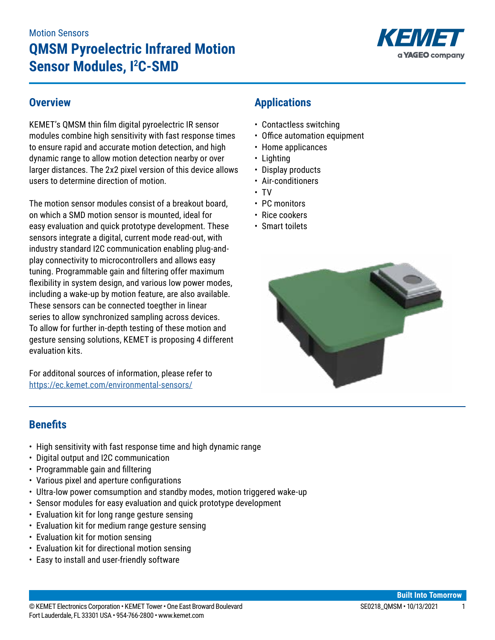

### **Overview**

KEMET's QMSM thin film digital pyroelectric IR sensor modules combine high sensitivity with fast response times to ensure rapid and accurate motion detection, and high dynamic range to allow motion detection nearby or over larger distances. The 2x2 pixel version of this device allows users to determine direction of motion.

The motion sensor modules consist of a breakout board, on which a SMD motion sensor is mounted, ideal for easy evaluation and quick prototype development. These sensors integrate a digital, current mode read-out, with industry standard I2C communication enabling plug-andplay connectivity to microcontrollers and allows easy tuning. Programmable gain and filtering offer maximum flexibility in system design, and various low power modes, including a wake-up by motion feature, are also available. These sensors can be connected toegther in linear series to allow synchronized sampling across devices. To allow for further in-depth testing of these motion and gesture sensing solutions, KEMET is proposing 4 different evaluation kits.

For additonal sources of information, please refer to <https://ec.kemet.com/environmental-sensors/>

# **Applications**

- Contactless switching
- Office automation equipment
- Home applicances
- Lighting
- Display products
- Air-conditioners
- TV
- PC monitors
- • Rice cookers
- Smart toilets



### **Benefits**

- High sensitivity with fast response time and high dynamic range
- Digital output and I2C communication
- Programmable gain and filltering
- • Various pixel and aperture configurations
- Ultra-low power comsumption and standby modes, motion triggered wake-up
- Sensor modules for easy evaluation and quick prototype development
- Evaluation kit for long range gesture sensing
- Evaluation kit for medium range gesture sensing
- Evaluation kit for motion sensing
- Evaluation kit for directional motion sensing
- Easy to install and user-friendly software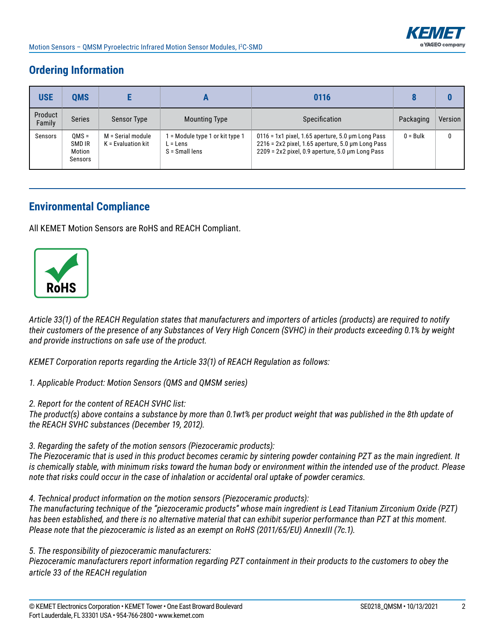# **Ordering Information**

| <b>USE</b>        | <b>QMS</b>                             |                                           |                                                               | 0116                                                                                                                                                                       |            |         |
|-------------------|----------------------------------------|-------------------------------------------|---------------------------------------------------------------|----------------------------------------------------------------------------------------------------------------------------------------------------------------------------|------------|---------|
| Product<br>Family | <b>Series</b>                          | <b>Sensor Type</b>                        | <b>Mounting Type</b>                                          | Specification                                                                                                                                                              | Packaging  | Version |
| Sensors           | $OMS =$<br>SMD IR<br>Motion<br>Sensors | M = Serial module<br>$K =$ Evaluation kit | = Module type 1 or kit type 1<br>L = Lens<br>$S = Small lens$ | $0116 = 1x1$ pixel, 1.65 aperture, 5.0 µm Long Pass<br>$2216$ = 2x2 pixel, 1.65 aperture, 5.0 $\mu$ m Long Pass<br>$2209 = 2x2$ pixel, 0.9 aperture, 5.0 $\mu$ m Long Pass | $0 =$ Bulk | 0       |

## **Environmental Compliance**

All KEMET Motion Sensors are RoHS and REACH Compliant.



*Article 33(1) of the REACH Regulation states that manufacturers and importers of articles (products) are required to notify their customers of the presence of any Substances of Very High Concern (SVHC) in their products exceeding 0.1% by weight and provide instructions on safe use of the product.*

*KEMET Corporation reports regarding the Article 33(1) of REACH Regulation as follows:*

*1. Applicable Product: Motion Sensors (QMS and QMSM series)*

*2. Report for the content of REACH SVHC list:* 

*The product(s) above contains a substance by more than 0.1wt% per product weight that was published in the 8th update of the REACH SVHC substances (December 19, 2012).* 

*3. Regarding the safety of the motion sensors (Piezoceramic products):*

*The Piezoceramic that is used in this product becomes ceramic by sintering powder containing PZT as the main ingredient. It is chemically stable, with minimum risks toward the human body or environment within the intended use of the product. Please note that risks could occur in the case of inhalation or accidental oral uptake of powder ceramics.*

*4. Technical product information on the motion sensors (Piezoceramic products):*

*The manufacturing technique of the "piezoceramic products" whose main ingredient is Lead Titanium Zirconium Oxide (PZT) has been established, and there is no alternative material that can exhibit superior performance than PZT at this moment. Please note that the piezoceramic is listed as an exempt on RoHS (2011/65/EU) AnnexIII (7c.1).*

*5. The responsibility of piezoceramic manufacturers:*

*Piezoceramic manufacturers report information regarding PZT containment in their products to the customers to obey the article 33 of the REACH regulation*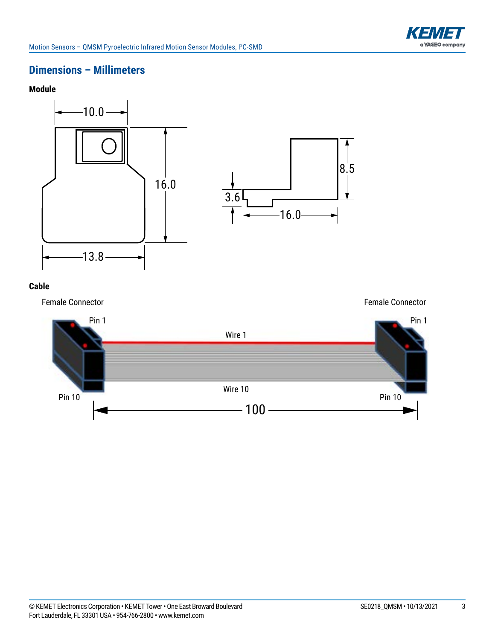

### **Dimensions – Millimeters**





#### **Cable**

Female Connector



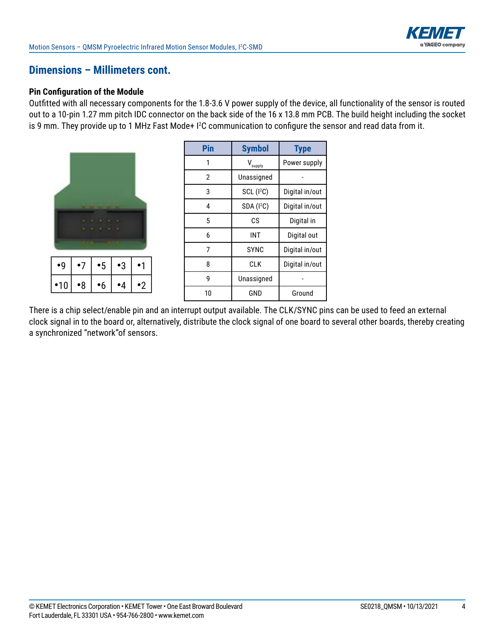

### **Dimensions – Millimeters cont.**

#### **Pin Configuration of the Module**

Outfitted with all necessary components for the 1.8-3.6 V power supply of the device, all functionality of the sensor is routed out to a 10-pin 1.27 mm pitch IDC connector on the back side of the 16 x 13.8 mm PCB. The build height including the socket is 9 mm. They provide up to 1 MHz Fast Mode+ I2 C communication to configure the sensor and read data from it.

|             |    | - 1       |    |         |
|-------------|----|-----------|----|---------|
|             |    |           |    |         |
|             |    |           |    |         |
| $\bullet$ 9 | •7 | $\cdot 5$ | •3 |         |
| •10         | •8 | 6         |    | $\cdot$ |

| Pin | <b>Symbol</b>          | <b>Type</b>    |
|-----|------------------------|----------------|
| 1   | v<br>supply            | Power supply   |
| 2   | Unassigned             |                |
| 3   | SCL (I <sup>2</sup> C) | Digital in/out |
| 4   | SDA (I <sup>2</sup> C) | Digital in/out |
| 5   | СS                     | Digital in     |
| 6   | INT                    | Digital out    |
| 7   | SYNC                   | Digital in/out |
| 8   | <b>CLK</b>             | Digital in/out |
| g   | Unassigned             |                |
| 10  | GND                    | Ground         |

There is a chip select/enable pin and an interrupt output available. The CLK/SYNC pins can be used to feed an external clock signal in to the board or, alternatively, distribute the clock signal of one board to several other boards, thereby creating a synchronized "network"of sensors.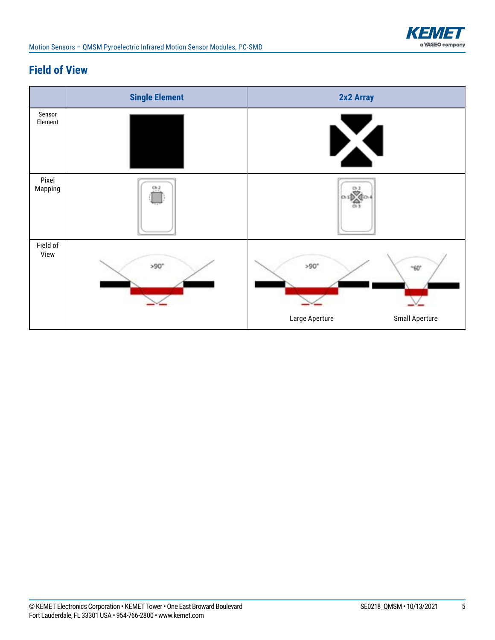

# **Field of View**

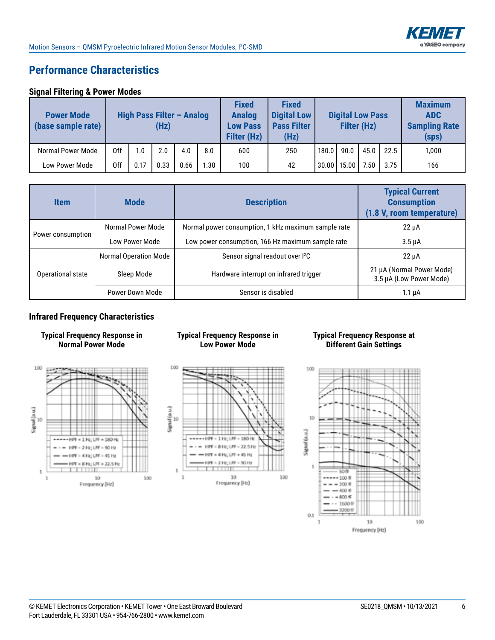

# **Performance Characteristics**

#### **Signal Filtering & Power Modes**

| <b>Power Mode</b><br>(base sample rate) | High Pass Filter - Analog<br>(Hz) |      |      | <b>Fixed</b><br><b>Analog</b><br><b>Low Pass</b><br><b>Filter (Hz)</b> | <b>Fixed</b><br><b>Digital Low</b><br><b>Pass Filter</b><br>(Hz) |     | <b>Digital Low Pass</b><br>Filter (Hz) |       |               | <b>Maximum</b><br><b>ADC</b><br><b>Sampling Rate</b><br>(sps) |      |       |
|-----------------------------------------|-----------------------------------|------|------|------------------------------------------------------------------------|------------------------------------------------------------------|-----|----------------------------------------|-------|---------------|---------------------------------------------------------------|------|-------|
| Normal Power Mode                       | 0ff                               | I.O  | 2.0  | 4.0                                                                    | 8.0                                                              | 600 | 250                                    | 180.0 | 90.0          | 45.0                                                          | 22.5 | 1,000 |
| <b>Low Power Mode</b>                   | 0ff                               | 0.17 | 0.33 | 0.66                                                                   | l.30                                                             | 100 | 42                                     |       | 30.00   15.00 | 7.50                                                          | 3.75 | 166   |

| <b>Item</b>       | <b>Mode</b>           | <b>Description</b>                                  | <b>Typical Current</b><br><b>Consumption</b><br>(1.8 V, room temperature) |
|-------------------|-----------------------|-----------------------------------------------------|---------------------------------------------------------------------------|
|                   | Normal Power Mode     | Normal power consumption, 1 kHz maximum sample rate | $22 \mu A$                                                                |
| Power consumption | Low Power Mode        | Low power consumption, 166 Hz maximum sample rate   | $3.5 \mu A$                                                               |
|                   | Normal Operation Mode | Sensor signal readout over I <sup>2</sup> C         | $22 \mu A$                                                                |
| Operational state | Sleep Mode            | Hardware interrupt on infrared trigger              | 21 µA (Normal Power Mode)<br>3.5 µA (Low Power Mode)                      |
|                   | Power Down Mode       | Sensor is disabled                                  | $1.1 \mu A$                                                               |

#### **Infrared Frequency Characteristics**





#### **Typical Frequency Response in Low Power Mode**



#### **Typical Frequency Response at Different Gain Settings**

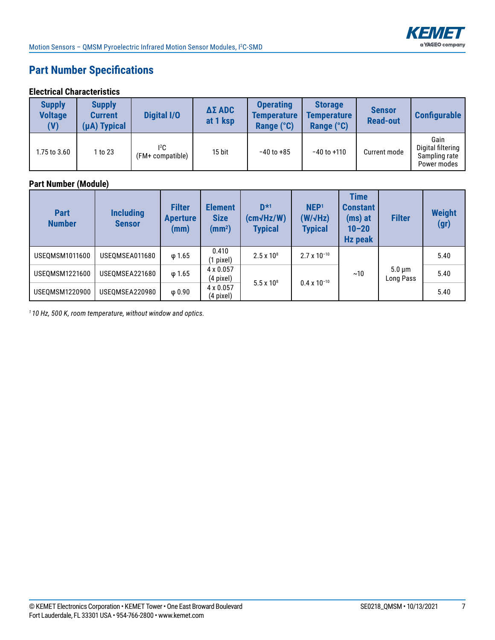

# **Part Number Specifications**

#### **Electrical Characteristics**

| <b>Supply</b><br><b>Voltage</b><br>(V) | <b>Supply</b><br><b>Current</b><br>(µA) Typical | <b>Digital I/O</b>             | <b>ΔΣ ADC</b><br>at 1 ksp | <b>Operating</b><br><b>Temperature</b><br>Range (°C) | <b>Storage</b><br><b>Temperature</b><br>Range (°C) | <b>Sensor</b><br><b>Read-out</b> | <b>Configurable</b>                                       |
|----------------------------------------|-------------------------------------------------|--------------------------------|---------------------------|------------------------------------------------------|----------------------------------------------------|----------------------------------|-----------------------------------------------------------|
| 1.75 to 3.60                           | 1 to 23                                         | ${}^{12}C$<br>(FM+ compatible) | 15 bit                    | $-40$ to $+85$                                       | $-40$ to $+110$                                    | Current mode                     | Gain<br>Digital filtering<br>Sampling rate<br>Power modes |

### **Part Number (Module)**

| <b>Part</b><br><b>Number</b> | <b>Including</b><br><b>Sensor</b> | <b>Filter</b><br><b>Aperture</b><br>(mm) | <b>Element</b><br><b>Size</b><br>(mm <sup>2</sup> ) | $D*1$<br>$(cm\sqrt{Hz/W})$<br><b>Typical</b> | NEP <sup>1</sup><br>$(W/\sqrt{Hz})$<br><b>Typical</b> | <b>Time</b><br><b>Constant</b><br>$(ms)$ at<br>$10 - 20$<br><b>Hz peak</b> | <b>Filter</b>            | <b>Weight</b><br>(gr) |
|------------------------------|-----------------------------------|------------------------------------------|-----------------------------------------------------|----------------------------------------------|-------------------------------------------------------|----------------------------------------------------------------------------|--------------------------|-----------------------|
| USEQMSM1011600               | USEQMSEA011680                    | $\varphi$ 1.65                           | 0.410<br>$(1$ pixel)                                | $2.5 \times 10^8$                            | $2.7 \times 10^{-10}$                                 |                                                                            | $5.0 \mu m$<br>Long Pass | 5.40                  |
| USEOMSM1221600               | USEOMSEA221680                    | $\varphi$ 1.65                           | 4 x 0.057<br>$(4$ pixel)                            | $5.5 \times 10^{8}$                          | $0.4 \times 10^{-10}$                                 | ~10                                                                        |                          | 5.40                  |
| USEQMSM1220900               | USEQMSEA220980                    | $\varphi$ 0.90                           | 4 x 0.057<br>(4 pixel)                              |                                              |                                                       |                                                                            |                          | 5.40                  |

*1 10 Hz, 500 K, room temperature, without window and optics.*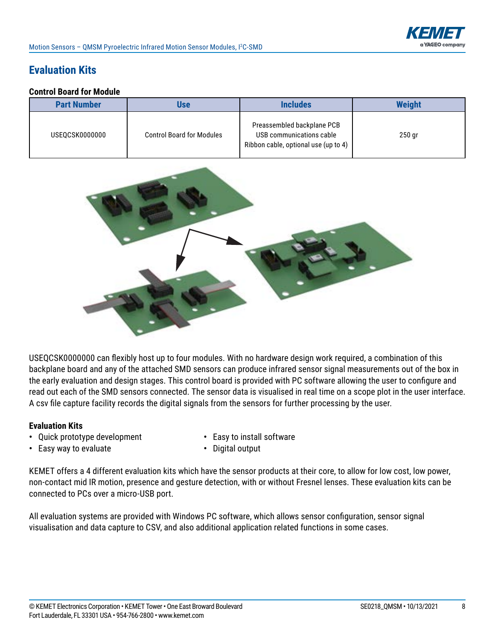# **Evaluation Kits**

#### **Control Board for Module**

| <b>Part Number</b> | Use                              | <b>Includes</b>                                                                                | <b>Weight</b> |
|--------------------|----------------------------------|------------------------------------------------------------------------------------------------|---------------|
| USEOCSK0000000     | <b>Control Board for Modules</b> | Preassembled backplane PCB<br>USB communications cable<br>Ribbon cable, optional use (up to 4) | $250$ gr      |



USEQCSK0000000 can flexibly host up to four modules. With no hardware design work required, a combination of this backplane board and any of the attached SMD sensors can produce infrared sensor signal measurements out of the box in the early evaluation and design stages. This control board is provided with PC software allowing the user to configure and read out each of the SMD sensors connected. The sensor data is visualised in real time on a scope plot in the user interface. A csv file capture facility records the digital signals from the sensors for further processing by the user.

#### **Evaluation Kits**

- **•** Quick prototype development **•** Easy to install software
	-
- **•** Easy way to evaluate **•** Digital output
- 

KEMET offers a 4 different evaluation kits which have the sensor products at their core, to allow for low cost, low power, non-contact mid IR motion, presence and gesture detection, with or without Fresnel lenses. These evaluation kits can be connected to PCs over a micro-USB port.

All evaluation systems are provided with Windows PC software, which allows sensor configuration, sensor signal visualisation and data capture to CSV, and also additional application related functions in some cases.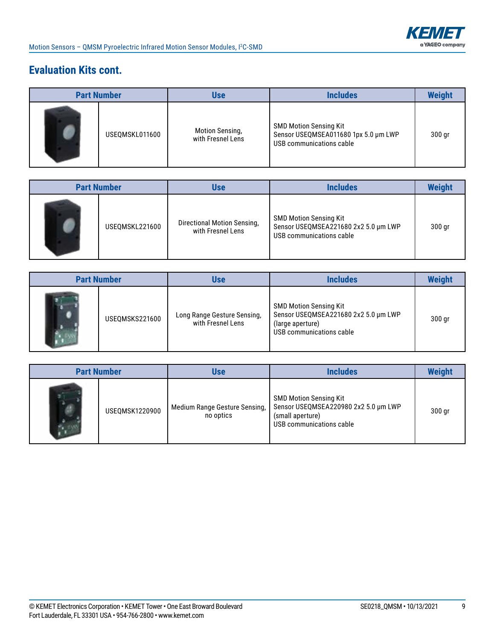

# **Evaluation Kits cont.**

| <b>Part Number</b> |                | Use                                         | <b>Includes</b>                                                                                   | <b>Weight</b> |
|--------------------|----------------|---------------------------------------------|---------------------------------------------------------------------------------------------------|---------------|
|                    | USEQMSKL011600 | <b>Motion Sensing,</b><br>with Fresnel Lens | <b>SMD Motion Sensing Kit</b><br>Sensor USEQMSEA011680 1px 5.0 µm LWP<br>USB communications cable | 300 gr        |

| <b>Part Number</b> |                | Use                                              | <b>Includes</b>                                                                                   | <b>Weight</b> |
|--------------------|----------------|--------------------------------------------------|---------------------------------------------------------------------------------------------------|---------------|
|                    | USEQMSKL221600 | Directional Motion Sensing,<br>with Fresnel Lens | <b>SMD Motion Sensing Kit</b><br>Sensor USEQMSEA221680 2x2 5.0 µm LWP<br>USB communications cable | $300$ gr      |

| <b>Part Number</b> |                | <b>Use</b>                                       | <b>Includes</b>                                                                                                       | <b>Weight</b> |
|--------------------|----------------|--------------------------------------------------|-----------------------------------------------------------------------------------------------------------------------|---------------|
|                    | USEQMSKS221600 | Long Range Gesture Sensing,<br>with Fresnel Lens | <b>SMD Motion Sensing Kit</b><br>Sensor USEQMSEA221680 2x2 5.0 µm LWP<br>(large aperture)<br>USB communications cable | $300$ gr      |

| <b>Part Number</b> |                | <b>Use</b>                                 | <b>Includes</b>                                                                                                       | <b>Weight</b> |
|--------------------|----------------|--------------------------------------------|-----------------------------------------------------------------------------------------------------------------------|---------------|
|                    | USEQMSK1220900 | Medium Range Gesture Sensing,<br>no optics | <b>SMD Motion Sensing Kit</b><br>Sensor USEQMSEA220980 2x2 5.0 µm LWP<br>(small aperture)<br>USB communications cable | 300 gr        |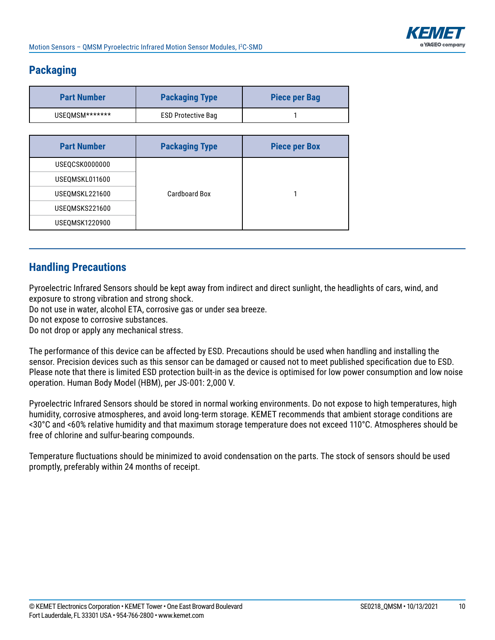

# **Packaging**

| <b>Part Number</b> | <b>Packaging Type</b>     | <b>Piece per Bag</b> |
|--------------------|---------------------------|----------------------|
| USEOMSM*******     | <b>ESD Protective Bag</b> |                      |

| <b>Part Number</b> | <b>Packaging Type</b> | <b>Piece per Box</b> |
|--------------------|-----------------------|----------------------|
| USEQCSK0000000     |                       |                      |
| USEQMSKL011600     |                       |                      |
| USEQMSKL221600     | Cardboard Box         |                      |
| USEQMSKS221600     |                       |                      |
| USEQMSK1220900     |                       |                      |

## **Handling Precautions**

Pyroelectric Infrared Sensors should be kept away from indirect and direct sunlight, the headlights of cars, wind, and exposure to strong vibration and strong shock.

Do not use in water, alcohol ETA, corrosive gas or under sea breeze.

Do not expose to corrosive substances.

Do not drop or apply any mechanical stress.

The performance of this device can be affected by ESD. Precautions should be used when handling and installing the sensor. Precision devices such as this sensor can be damaged or caused not to meet published specification due to ESD. Please note that there is limited ESD protection built-in as the device is optimised for low power consumption and low noise operation. Human Body Model (HBM), per JS-001: 2,000 V.

Pyroelectric Infrared Sensors should be stored in normal working environments. Do not expose to high temperatures, high humidity, corrosive atmospheres, and avoid long-term storage. KEMET recommends that ambient storage conditions are <30°C and <60% relative humidity and that maximum storage temperature does not exceed 110°C. Atmospheres should be free of chlorine and sulfur-bearing compounds.

Temperature fluctuations should be minimized to avoid condensation on the parts. The stock of sensors should be used promptly, preferably within 24 months of receipt.